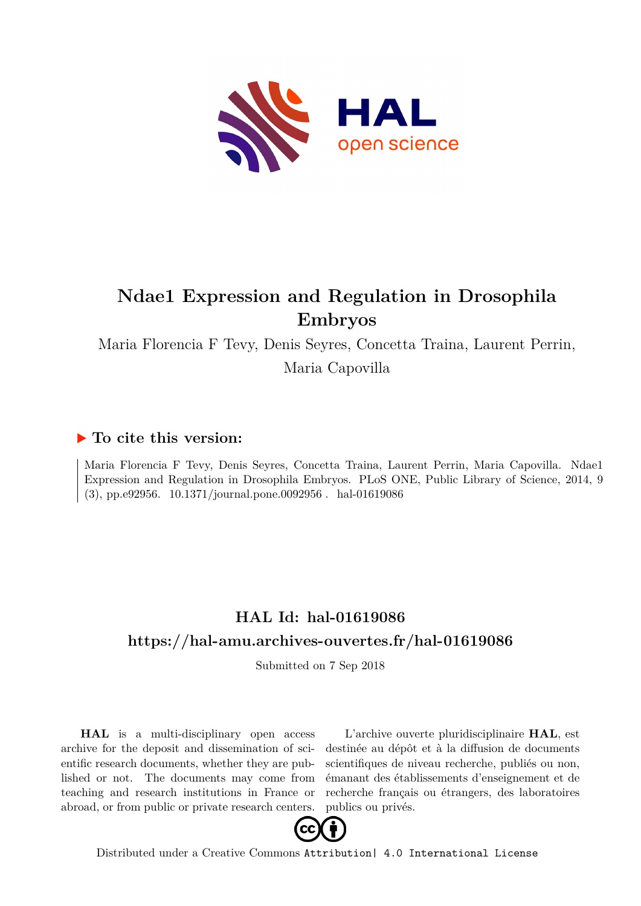

## **Ndae1 Expression and Regulation in Drosophila Embryos**

Maria Florencia F Tevy, Denis Seyres, Concetta Traina, Laurent Perrin,

Maria Capovilla

### **To cite this version:**

Maria Florencia F Tevy, Denis Seyres, Concetta Traina, Laurent Perrin, Maria Capovilla. Ndae1 Expression and Regulation in Drosophila Embryos. PLoS ONE, Public Library of Science, 2014, 9  $(3)$ , pp.e92956.  $10.1371/journal.pone.0092956$ . hal-01619086

### **HAL Id: hal-01619086 <https://hal-amu.archives-ouvertes.fr/hal-01619086>**

Submitted on 7 Sep 2018

**HAL** is a multi-disciplinary open access archive for the deposit and dissemination of scientific research documents, whether they are published or not. The documents may come from teaching and research institutions in France or abroad, or from public or private research centers.

L'archive ouverte pluridisciplinaire **HAL**, est destinée au dépôt et à la diffusion de documents scientifiques de niveau recherche, publiés ou non, émanant des établissements d'enseignement et de recherche français ou étrangers, des laboratoires publics ou privés.



Distributed under a Creative Commons [Attribution| 4.0 International License](http://creativecommons.org/licenses/by/4.0/)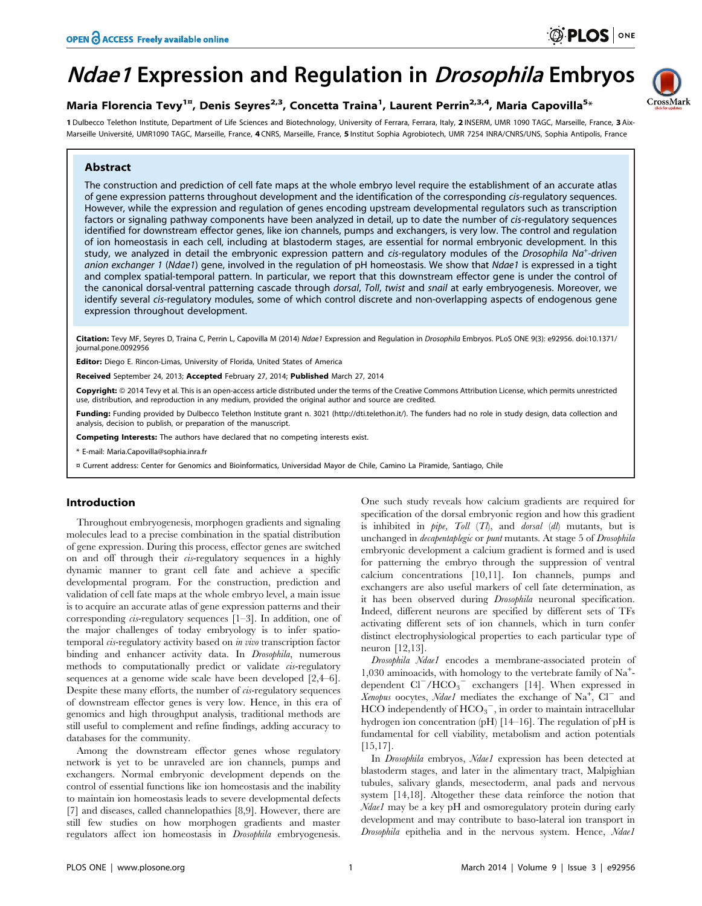CrossMark

# **Ndae1 Expression and Regulation in Drosophila Embryos**

### Maria Florencia Tevy<sup>1¤</sup>, Denis Seyres<sup>2,3</sup>, Concetta Traina<sup>1</sup>, Laurent Perrin<sup>2,3,4</sup>, Maria Capovilla<sup>5</sup>\*

1 Dulbecco Telethon Institute, Department of Life Sciences and Biotechnology, University of Ferrara, Ferrara, Italy, 2 INSERM, UMR 1090 TAGC, Marseille, France, 3 Aix-Marseille Université, UMR1090 TAGC, Marseille, France, 4 CNRS, Marseille, France, 5 Institut Sophia Agrobiotech, UMR 7254 INRA/CNRS/UNS, Sophia Antipolis, France

#### Abstract

The construction and prediction of cell fate maps at the whole embryo level require the establishment of an accurate atlas of gene expression patterns throughout development and the identification of the corresponding cis-regulatory sequences. However, while the expression and regulation of genes encoding upstream developmental regulators such as transcription factors or signaling pathway components have been analyzed in detail, up to date the number of cis-regulatory sequences identified for downstream effector genes, like ion channels, pumps and exchangers, is very low. The control and regulation of ion homeostasis in each cell, including at blastoderm stages, are essential for normal embryonic development. In this study, we analyzed in detail the embryonic expression pattern and cis-regulatory modules of the Drosophila Na<sup>+</sup>-driven anion exchanger 1 (Ndae1) gene, involved in the regulation of pH homeostasis. We show that Ndae1 is expressed in a tight and complex spatial-temporal pattern. In particular, we report that this downstream effector gene is under the control of the canonical dorsal-ventral patterning cascade through dorsal, Toll, twist and snail at early embryogenesis. Moreover, we identify several cis-regulatory modules, some of which control discrete and non-overlapping aspects of endogenous gene expression throughout development.

Citation: Tevy MF, Seyres D, Traina C, Perrin L, Capovilla M (2014) Ndae1 Expression and Regulation in Drosophila Embryos. PLoS ONE 9(3): e92956. doi:10.1371/ journal.pone.0092956

Editor: Diego E. Rincon-Limas, University of Florida, United States of America

Received September 24, 2013; Accepted February 27, 2014; Published March 27, 2014

Copyright: © 2014 Tevy et al. This is an open-access article distributed under the terms of the [Creative Commons Attribution License](http://creativecommons.org/licenses/by/4.0/), which permits unrestricted use, distribution, and reproduction in any medium, provided the original author and source are credited.

Funding: Funding provided by Dulbecco Telethon Institute grant n. 3021 (http://dti.telethon.it/). The funders had no role in study design, data collection and analysis, decision to publish, or preparation of the manuscript.

Competing Interests: The authors have declared that no competing interests exist.

\* E-mail: Maria.Capovilla@sophia.inra.fr

¤ Current address: Center for Genomics and Bioinformatics, Universidad Mayor de Chile, Camino La Piramide, Santiago, Chile

#### Introduction

Throughout embryogenesis, morphogen gradients and signaling molecules lead to a precise combination in the spatial distribution of gene expression. During this process, effector genes are switched on and off through their cis-regulatory sequences in a highly dynamic manner to grant cell fate and achieve a specific developmental program. For the construction, prediction and validation of cell fate maps at the whole embryo level, a main issue is to acquire an accurate atlas of gene expression patterns and their corresponding cis-regulatory sequences [1–3]. In addition, one of the major challenges of today embryology is to infer spatiotemporal cis-regulatory activity based on in vivo transcription factor binding and enhancer activity data. In Drosophila, numerous methods to computationally predict or validate cis-regulatory sequences at a genome wide scale have been developed [2,4–6]. Despite these many efforts, the number of *cis*-regulatory sequences of downstream effector genes is very low. Hence, in this era of genomics and high throughput analysis, traditional methods are still useful to complement and refine findings, adding accuracy to databases for the community.

Among the downstream effector genes whose regulatory network is yet to be unraveled are ion channels, pumps and exchangers. Normal embryonic development depends on the control of essential functions like ion homeostasis and the inability to maintain ion homeostasis leads to severe developmental defects [7] and diseases, called channelopathies [8,9]. However, there are still few studies on how morphogen gradients and master regulators affect ion homeostasis in Drosophila embryogenesis. One such study reveals how calcium gradients are required for specification of the dorsal embryonic region and how this gradient is inhibited in  $pipe$ ,  $Toll$  ( $Tl$ ), and *dorsal* ( $dl$ ) mutants, but is unchanged in decapentaplegic or punt mutants. At stage 5 of Drosophila embryonic development a calcium gradient is formed and is used for patterning the embryo through the suppression of ventral calcium concentrations [10,11]. Ion channels, pumps and exchangers are also useful markers of cell fate determination, as it has been observed during Drosophila neuronal specification. Indeed, different neurons are specified by different sets of TFs activating different sets of ion channels, which in turn confer distinct electrophysiological properties to each particular type of neuron [12,13].

Drosophila Ndae1 encodes a membrane-associated protein of 1,030 aminoacids, with homology to the vertebrate family of Na<sup>+</sup> dependent  $Cl^{-}/HCO_{3}^{-}$  exchangers [14]. When expressed in Xenopus oocytes, Ndae1 mediates the exchange of  $Na<sup>+</sup>$ ,  $Cl<sup>-</sup>$  and  $HCO$  independently of  $HCO_3^-$ , in order to maintain intracellular hydrogen ion concentration (pH) [14–16]. The regulation of pH is fundamental for cell viability, metabolism and action potentials [15,17].

In Drosophila embryos, Ndae1 expression has been detected at blastoderm stages, and later in the alimentary tract, Malpighian tubules, salivary glands, mesectoderm, anal pads and nervous system [14,18]. Altogether these data reinforce the notion that Ndae1 may be a key pH and osmoregulatory protein during early development and may contribute to baso-lateral ion transport in Drosophila epithelia and in the nervous system. Hence, Ndael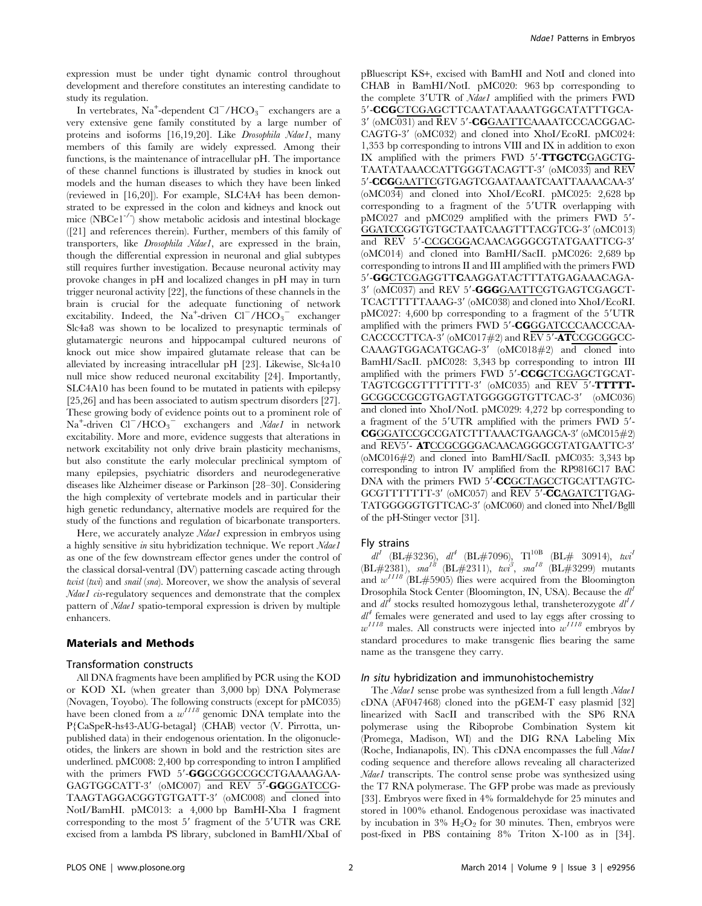expression must be under tight dynamic control throughout development and therefore constitutes an interesting candidate to study its regulation.

In vertebrates,  $\text{Na}^+$ -dependent Cl $^-$ /HCO<sub>3</sub> $^-$  exchangers are a very extensive gene family constituted by a large number of proteins and isoforms [16,19,20]. Like *Drosophila Ndae1*, many members of this family are widely expressed. Among their functions, is the maintenance of intracellular pH. The importance of these channel functions is illustrated by studies in knock out models and the human diseases to which they have been linked (reviewed in [16,20]). For example, SLC4A4 has been demonstrated to be expressed in the colon and kidneys and knock out mice  $(NBCe1^{-1})$  show metabolic acidosis and intestinal blockage ([21] and references therein). Further, members of this family of transporters, like Drosophila Ndae1, are expressed in the brain, though the differential expression in neuronal and glial subtypes still requires further investigation. Because neuronal activity may provoke changes in pH and localized changes in pH may in turn trigger neuronal activity [22], the functions of these channels in the brain is crucial for the adequate functioning of network excitability. Indeed, the  $Na^+$ -driven  $Cl^-/HCO_3^-$  exchanger Slc4a8 was shown to be localized to presynaptic terminals of glutamatergic neurons and hippocampal cultured neurons of knock out mice show impaired glutamate release that can be alleviated by increasing intracellular pH [23]. Likewise, Slc4a10 null mice show reduced neuronal excitability [24]. Importantly, SLC4A10 has been found to be mutated in patients with epilepsy [25,26] and has been associated to autism spectrum disorders [27]. These growing body of evidence points out to a prominent role of  $Na<sup>+</sup>$ -driven  $Cl<sup>-</sup>/HCO<sub>3</sub><sup>-</sup>$  exchangers and  $Ndael$  in network excitability. More and more, evidence suggests that alterations in network excitability not only drive brain plasticity mechanisms, but also constitute the early molecular preclinical symptom of many epilepsies, psychiatric disorders and neurodegenerative diseases like Alzheimer disease or Parkinson [28–30]. Considering the high complexity of vertebrate models and in particular their high genetic redundancy, alternative models are required for the study of the functions and regulation of bicarbonate transporters.

Here, we accurately analyze *Ndael* expression in embryos using a highly sensitive in situ hybridization technique. We report Ndael as one of the few downstream effector genes under the control of the classical dorsal-ventral (DV) patterning cascade acting through twist (twi) and snail (sna). Moreover, we show the analysis of several Ndae1 cis-regulatory sequences and demonstrate that the complex pattern of Ndae1 spatio-temporal expression is driven by multiple enhancers.

#### Materials and Methods

#### Transformation constructs

All DNA fragments have been amplified by PCR using the KOD or KOD XL (when greater than 3,000 bp) DNA Polymerase (Novagen, Toyobo). The following constructs (except for pMC035) have been cloned from a  $w^{1118}$  genomic DNA template into the P{CaSpeR-hs43-AUG-betagal} (CHAB) vector (V. Pirrotta, unpublished data) in their endogenous orientation. In the oligonucleotides, the linkers are shown in bold and the restriction sites are underlined. pMC008: 2,400 bp corresponding to intron I amplified with the primers FWD 5'-GGGCGGCCGCCTGAAAAGAA-GAGTGGCATT-3' (oMC007) and REV 5'-GGGGATCCG-TAAGTAGGACGGTGTGATT-3' (oMC008) and cloned into NotI/BamHI. pMC013: a 4,000 bp BamHI-Xba I fragment corresponding to the most 5' fragment of the 5'UTR was CRE excised from a lambda PS library, subcloned in BamHI/XbaI of pBluescript KS+, excised with BamHI and NotI and cloned into CHAB in BamHI/NotI. pMC020: 963 bp corresponding to the complete 3'UTR of Ndae1 amplified with the primers FWD 5'-CCGCTCGAGCTTCAATATAAAATGGCATATTTGCA-3' (oMC031) and REV 5'-CGGAATTCAAAATCCCACGGAC-CAGTG-3' (oMC032) and cloned into XhoI/EcoRI. pMC024: 1,353 bp corresponding to introns VIII and IX in addition to exon IX amplified with the primers FWD  $5'$ -TTGCTCGAGCTG-TAATATAAACCATTGGGTACAGTT-3' (oMC033) and REV  $5^\prime$  -CCGGAATTCGTGAGTCGAATAAATCAATTAAAACAA-3 $^\prime$ (oMC034) and cloned into XhoI/EcoRI. pMC025: 2,628 bp corresponding to a fragment of the 5'UTR overlapping with  $pMC027$  and  $pMC029$  amplified with the primers FWD  $5'$ -GGATCCGGTGTGCTAATCAAGTTTACGTCG-3' (oMC013) and REV 5'-CCGCGGACAACAGGGCGTATGAATTCG-3' (oMC014) and cloned into BamHI/SacII. pMC026: 2,689 bp corresponding to introns II and III amplified with the primers FWD 5'-GGCTCGAGGTTCAAGGATACTTTATGAGAAACAGA-3' (oMC037) and REV 5'-GGGGAATTCGTGAGTCGAGCT-TCACTTTTTAAAG-3' (oMC038) and cloned into XhoI/EcoRI.  $pMC027: 4,600$  bp corresponding to a fragment of the  $5'UTR$ amplified with the primers FWD  $5'$ -CGGGATCCCAACCCAA- $CACCCCTTCA-3' (oMC017#2)$  and  $REV 5'$ -ATCCGCGGCC-CAAAGTGGACATGCAG-3' (oMC018#2) and cloned into BamHI/SacII. pMC028: 3,343 bp corresponding to intron III amplified with the primers FWD 5'-CCGCTCGAGCTGCAT-TAGTCGCGTTTTTTTT-3' (oMC035) and REV 5'-TTTTT-GCGGCCGCGTGAGTATGGGGGTGTTCAC-3' (oMC036) and cloned into XhoI/NotI. pMC029: 4,272 bp corresponding to a fragment of the 5'UTR amplified with the primers FWD 5'- $CGGGATCCGGCGATCTTTAAACTGAAGCA-3' (oMC015#2)$ and REV5'- ATCCGCGGGACAACAGGGCGTATGAATTC-3' (oMC016#2) and cloned into BamHI/SacII. pMC035: 3,343 bp corresponding to intron IV amplified from the RP9816C17 BAC DNA with the primers FWD 5'-CCGCTAGCCTGCATTAGTC-GCGTTTTTTTT-3' (oMC057) and REV 5'-CCAGATCTTGAG-TATGGGGGTGTTCAC-3' (oMC060) and cloned into NheI/Bglll of the pH-Stinger vector [31].

#### Fly strains

 $dl^I$  (BL#3236),  $dl^4$  (BL#7096), Tl<sup>10B</sup> (BL# 30914), twi<sup>1</sup> (BL#2381),  $sna^{18}$  (BL#2311),  $twi^3$ ,  $sna^{18}$  (BL#3299) mutants and  $w^{1118}$  (BL#5905) flies were acquired from the Bloomington Drosophila Stock Center (Bloomington, IN, USA). Because the  $dl^1$ and  $d\vec{l}^4$  stocks resulted homozygous lethal, transheterozygote  $dl^1$ /  $dl^4$  females were generated and used to lay eggs after crossing to  $w^{1118}$  males. All constructs were injected into  $w^{1118}$  embryos by standard procedures to make transgenic flies bearing the same name as the transgene they carry.

#### In situ hybridization and immunohistochemistry

The Ndae1 sense probe was synthesized from a full length Ndae1 cDNA (AF047468) cloned into the pGEM-T easy plasmid [32] linearized with SacII and transcribed with the SP6 RNA polymerase using the Riboprobe Combination System kit (Promega, Madison, WI) and the DIG RNA Labeling Mix (Roche, Indianapolis, IN). This cDNA encompasses the full *Ndae1* coding sequence and therefore allows revealing all characterized Ndae1 transcripts. The control sense probe was synthesized using the T7 RNA polymerase. The GFP probe was made as previously [33]. Embryos were fixed in 4% formaldehyde for 25 minutes and stored in 100% ethanol. Endogenous peroxidase was inactivated by incubation in  $3\%$  H<sub>2</sub>O<sub>2</sub> for 30 minutes. Then, embryos were post-fixed in PBS containing 8% Triton X-100 as in [34].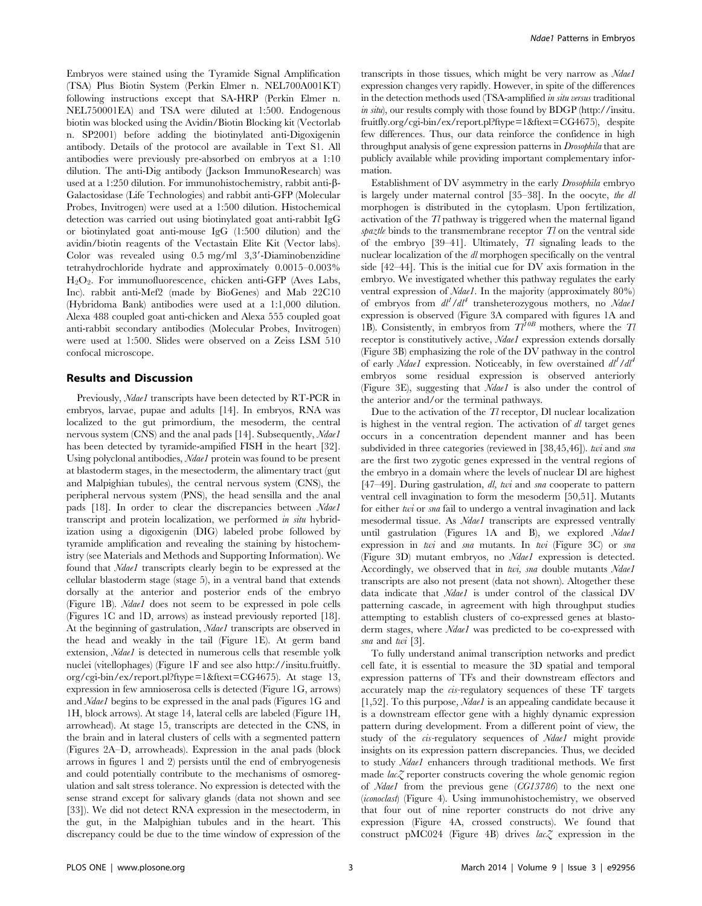Embryos were stained using the Tyramide Signal Amplification (TSA) Plus Biotin System (Perkin Elmer n. NEL700A001KT) following instructions except that SA-HRP (Perkin Elmer n. NEL750001EA) and TSA were diluted at 1:500. Endogenous biotin was blocked using the Avidin/Biotin Blocking kit (Vectorlab n. SP2001) before adding the biotinylated anti-Digoxigenin antibody. Details of the protocol are available in Text S1. All antibodies were previously pre-absorbed on embryos at a 1:10 dilution. The anti-Dig antibody (Jackson ImmunoResearch) was used at a 1:250 dilution. For immunohistochemistry, rabbit anti-b-Galactosidase (Life Technologies) and rabbit anti-GFP (Molecular Probes, Invitrogen) were used at a 1:500 dilution. Histochemical detection was carried out using biotinylated goat anti-rabbit IgG or biotinylated goat anti-mouse IgG (1:500 dilution) and the avidin/biotin reagents of the Vectastain Elite Kit (Vector labs). Color was revealed using  $0.5 \text{ mg/ml}$  3,3'-Diaminobenzidine tetrahydrochloride hydrate and approximately 0.0015–0.003%  $H<sub>2</sub>O<sub>2</sub>$ . For immunofluorescence, chicken anti-GFP (Aves Labs, Inc). rabbit anti-Mef2 (made by BioGenes) and Mab 22C10 (Hybridoma Bank) antibodies were used at a 1:1,000 dilution. Alexa 488 coupled goat anti-chicken and Alexa 555 coupled goat anti-rabbit secondary antibodies (Molecular Probes, Invitrogen) were used at 1:500. Slides were observed on a Zeiss LSM 510 confocal microscope.

#### Results and Discussion

Previously, Ndae1 transcripts have been detected by RT-PCR in embryos, larvae, pupae and adults [14]. In embryos, RNA was localized to the gut primordium, the mesoderm, the central nervous system (CNS) and the anal pads [14]. Subsequently, Ndae1 has been detected by tyramide-ampified FISH in the heart [32]. Using polyclonal antibodies, *Ndae1* protein was found to be present at blastoderm stages, in the mesectoderm, the alimentary tract (gut and Malpighian tubules), the central nervous system (CNS), the peripheral nervous system (PNS), the head sensilla and the anal pads [18]. In order to clear the discrepancies between Ndae1 transcript and protein localization, we performed in situ hybridization using a digoxigenin (DIG) labeled probe followed by tyramide amplification and revealing the staining by histochemistry (see Materials and Methods and Supporting Information). We found that Ndae1 transcripts clearly begin to be expressed at the cellular blastoderm stage (stage 5), in a ventral band that extends dorsally at the anterior and posterior ends of the embryo (Figure 1B). Ndae1 does not seem to be expressed in pole cells (Figures 1C and 1D, arrows) as instead previously reported [18]. At the beginning of gastrulation, *Ndae1* transcripts are observed in the head and weakly in the tail (Figure 1E). At germ band extension, Ndae1 is detected in numerous cells that resemble yolk nuclei (vitellophages) (Figure 1F and see also [http://insitu.fruitfly.](http://insitu.fruitfly.org/cgi-bin/ex/report.pl?ftype=1&ftext=CG4675) [org/cgi-bin/ex/report.pl?ftype=1&ftext=CG4675\)](http://insitu.fruitfly.org/cgi-bin/ex/report.pl?ftype=1&ftext=CG4675). At stage 13, expression in few amnioserosa cells is detected (Figure 1G, arrows) and Ndae1 begins to be expressed in the anal pads (Figures 1G and 1H, block arrows). At stage 14, lateral cells are labeled (Figure 1H, arrowhead). At stage 15, transcripts are detected in the CNS, in the brain and in lateral clusters of cells with a segmented pattern (Figures 2A–D, arrowheads). Expression in the anal pads (block arrows in figures 1 and 2) persists until the end of embryogenesis and could potentially contribute to the mechanisms of osmoregulation and salt stress tolerance. No expression is detected with the sense strand except for salivary glands (data not shown and see [33]). We did not detect RNA expression in the mesectoderm, in the gut, in the Malpighian tubules and in the heart. This discrepancy could be due to the time window of expression of the

transcripts in those tissues, which might be very narrow as Ndael expression changes very rapidly. However, in spite of the differences in the detection methods used (TSA-amplified in situ versus traditional in situ), our results comply with those found by BDGP [\(http://insitu.](http://insitu.fruitfly.org/cgi-bin/ex/report.pl?ftype=1&ftext=CG4675) [fruitfly.org/cgi-bin/ex/report.pl?ftype=1&ftext=CG4675](http://insitu.fruitfly.org/cgi-bin/ex/report.pl?ftype=1&ftext=CG4675)), despite few differences. Thus, our data reinforce the confidence in high throughput analysis of gene expression patterns in Drosophila that are publicly available while providing important complementary information.

Establishment of DV asymmetry in the early Drosophila embryo is largely under maternal control [35–38]. In the oocyte, the dl morphogen is distributed in the cytoplasm. Upon fertilization, activation of the  $Tl$  pathway is triggered when the maternal ligand spaztle binds to the transmembrane receptor  $Tl$  on the ventral side of the embryo [39–41]. Ultimately,  $Tl$  signaling leads to the nuclear localization of the dl morphogen specifically on the ventral side [42–44]. This is the initial cue for DV axis formation in the embryo. We investigated whether this pathway regulates the early ventral expression of Ndae1. In the majority (approximately 80%) of embryos from  $dl^1/dl^4$  transheterozygous mothers, no Ndae1 expression is observed (Figure 3A compared with figures 1A and 1B). Consistently, in embryos from  $T_l^{10B}$  mothers, where the  $T_l$ receptor is constitutively active, *Ndae1* expression extends dorsally (Figure 3B) emphasizing the role of the DV pathway in the control of early  $Ndael$  expression. Noticeably, in few overstained  $dl^{1}/dl^{4}$ embryos some residual expression is observed anteriorly (Figure 3E), suggesting that Ndae1 is also under the control of the anterior and/or the terminal pathways.

Due to the activation of the  $Tl$  receptor, Dl nuclear localization is highest in the ventral region. The activation of dl target genes occurs in a concentration dependent manner and has been subdivided in three categories (reviewed in [38,45,46]). twi and sna are the first two zygotic genes expressed in the ventral regions of the embryo in a domain where the levels of nuclear Dl are highest [47–49]. During gastrulation, dl, twi and sna cooperate to pattern ventral cell invagination to form the mesoderm [50,51]. Mutants for either twi or sna fail to undergo a ventral invagination and lack mesodermal tissue. As Ndae1 transcripts are expressed ventrally until gastrulation (Figures 1A and B), we explored Ndae1 expression in twi and sna mutants. In twi (Figure 3C) or sna (Figure 3D) mutant embryos, no Ndae1 expression is detected. Accordingly, we observed that in twi, sna double mutants Ndae1 transcripts are also not present (data not shown). Altogether these data indicate that Ndae1 is under control of the classical DV patterning cascade, in agreement with high throughput studies attempting to establish clusters of co-expressed genes at blastoderm stages, where *Ndae1* was predicted to be co-expressed with sna and twi [3].

To fully understand animal transcription networks and predict cell fate, it is essential to measure the 3D spatial and temporal expression patterns of TFs and their downstream effectors and accurately map the cis-regulatory sequences of these TF targets [1,52]. To this purpose,  $\textit{Ndael}$  is an appealing candidate because it is a downstream effector gene with a highly dynamic expression pattern during development. From a different point of view, the study of the cis-regulatory sequences of Ndae1 might provide insights on its expression pattern discrepancies. Thus, we decided to study Ndae1 enhancers through traditional methods. We first made  $lac\zeta$  reporter constructs covering the whole genomic region of Ndae1 from the previous gene (CG13786) to the next one (iconoclast) (Figure 4). Using immunohistochemistry, we observed that four out of nine reporter constructs do not drive any expression (Figure 4A, crossed constructs). We found that construct pMC024 (Figure 4B) drives  $lac \gtrsim$  expression in the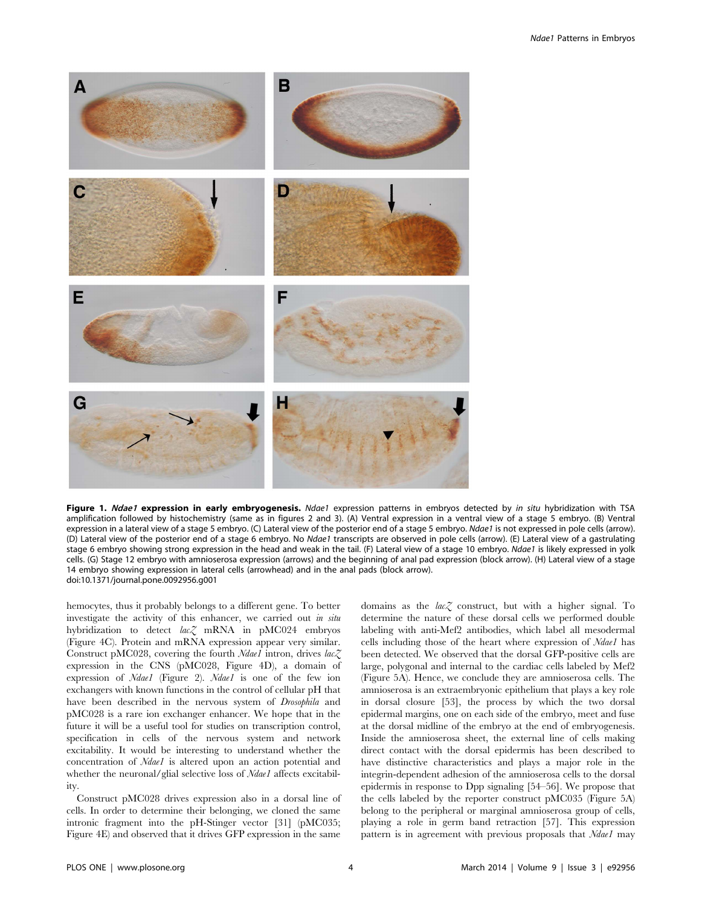

Figure 1. Ndae1 expression in early embryogenesis. Ndae1 expression patterns in embryos detected by in situ hybridization with TSA amplification followed by histochemistry (same as in figures 2 and 3). (A) Ventral expression in a ventral view of a stage 5 embryo. (B) Ventral expression in a lateral view of a stage 5 embryo. (C) Lateral view of the posterior end of a stage 5 embryo. Ndae1 is not expressed in pole cells (arrow). (D) Lateral view of the posterior end of a stage 6 embryo. No Ndae1 transcripts are observed in pole cells (arrow). (E) Lateral view of a gastrulating stage 6 embryo showing strong expression in the head and weak in the tail. (F) Lateral view of a stage 10 embryo. Ndae1 is likely expressed in yolk cells. (G) Stage 12 embryo with amnioserosa expression (arrows) and the beginning of anal pad expression (block arrow). (H) Lateral view of a stage 14 embryo showing expression in lateral cells (arrowhead) and in the anal pads (block arrow). doi:10.1371/journal.pone.0092956.g001

hemocytes, thus it probably belongs to a different gene. To better investigate the activity of this enhancer, we carried out in situ hybridization to detect lac<sub>Z</sub> mRNA in pMC024 embryos (Figure 4C). Protein and mRNA expression appear very similar. Construct pMC028, covering the fourth  $Ndael$  intron, drives  $lac\bar{\chi}$ expression in the CNS (pMC028, Figure 4D), a domain of expression of Ndae1 (Figure 2). Ndae1 is one of the few ion exchangers with known functions in the control of cellular pH that have been described in the nervous system of Drosophila and pMC028 is a rare ion exchanger enhancer. We hope that in the future it will be a useful tool for studies on transcription control, specification in cells of the nervous system and network excitability. It would be interesting to understand whether the concentration of Ndae1 is altered upon an action potential and whether the neuronal/glial selective loss of Ndae1 affects excitability.

Construct pMC028 drives expression also in a dorsal line of cells. In order to determine their belonging, we cloned the same intronic fragment into the pH-Stinger vector [31] (pMC035; Figure 4E) and observed that it drives GFP expression in the same

domains as the  $lac\zeta$  construct, but with a higher signal. To determine the nature of these dorsal cells we performed double labeling with anti-Mef2 antibodies, which label all mesodermal cells including those of the heart where expression of Ndae1 has been detected. We observed that the dorsal GFP-positive cells are large, polygonal and internal to the cardiac cells labeled by Mef2 (Figure 5A). Hence, we conclude they are amnioserosa cells. The amnioserosa is an extraembryonic epithelium that plays a key role in dorsal closure [53], the process by which the two dorsal epidermal margins, one on each side of the embryo, meet and fuse at the dorsal midline of the embryo at the end of embryogenesis. Inside the amnioserosa sheet, the external line of cells making direct contact with the dorsal epidermis has been described to have distinctive characteristics and plays a major role in the integrin-dependent adhesion of the amnioserosa cells to the dorsal epidermis in response to Dpp signaling [54–56]. We propose that the cells labeled by the reporter construct pMC035 (Figure 5A) belong to the peripheral or marginal amnioserosa group of cells, playing a role in germ band retraction [57]. This expression pattern is in agreement with previous proposals that Ndae1 may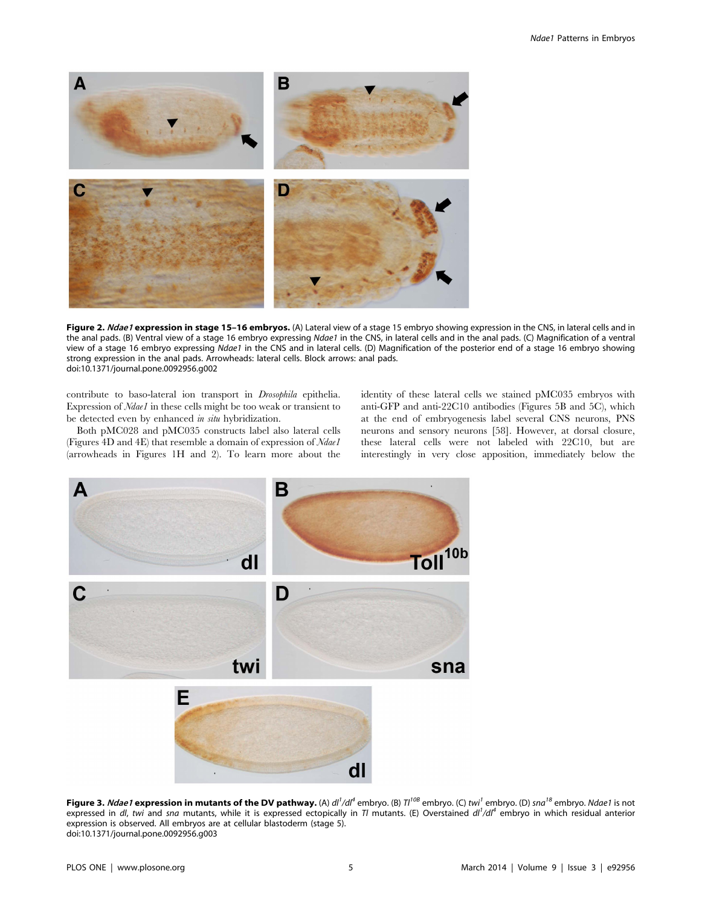

Figure 2. Ndae1 expression in stage 15-16 embryos. (A) Lateral view of a stage 15 embryo showing expression in the CNS, in lateral cells and in the anal pads. (B) Ventral view of a stage 16 embryo expressing Ndae1 in the CNS, in lateral cells and in the anal pads. (C) Magnification of a ventral view of a stage 16 embryo expressing Ndae1 in the CNS and in lateral cells. (D) Magnification of the posterior end of a stage 16 embryo showing strong expression in the anal pads. Arrowheads: lateral cells. Block arrows: anal pads. doi:10.1371/journal.pone.0092956.g002

contribute to baso-lateral ion transport in Drosophila epithelia. Expression of Ndae1 in these cells might be too weak or transient to be detected even by enhanced in situ hybridization.

Both pMC028 and pMC035 constructs label also lateral cells (Figures 4D and 4E) that resemble a domain of expression of Ndae1 (arrowheads in Figures 1H and 2). To learn more about the identity of these lateral cells we stained pMC035 embryos with anti-GFP and anti-22C10 antibodies (Figures 5B and 5C), which at the end of embryogenesis label several CNS neurons, PNS neurons and sensory neurons [58]. However, at dorsal closure, these lateral cells were not labeled with 22C10, but are interestingly in very close apposition, immediately below the



**Figure 3.** *Ndae1* **expression in mutants of the DV pathway.** (A) dl<sup>1</sup>/dl<sup>4</sup> embryo. (B) Tl<sup>10B</sup> embryo. (C) twi<sup>1</sup> embryo. (D) sna<sup>18</sup> embryo. Ndae1 is not expressed in dl, twi and sna mutants, while it is expressed ectopically in Tl mutants. (E) Overstained dl<sup>1</sup>/dl<sup>4</sup> embryo in which residual anterior expression is observed. All embryos are at cellular blastoderm (stage 5). doi:10.1371/journal.pone.0092956.g003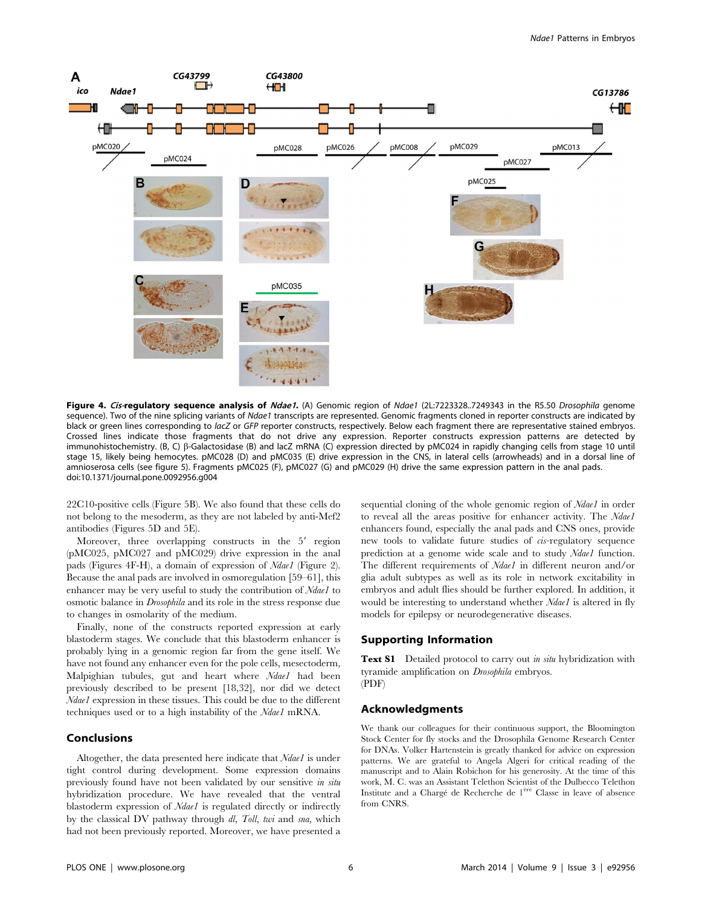

Figure 4. Cis-regulatory sequence analysis of Ndae1. (A) Genomic region of Ndae1 (2L:7223328..7249343 in the R5.50 Drosophila genome sequence). Two of the nine splicing variants of Ndae1 transcripts are represented. Genomic fragments cloned in reporter constructs are indicated by black or green lines corresponding to lacZ or GFP reporter constructs, respectively. Below each fragment there are representative stained embryos. Crossed lines indicate those fragments that do not drive any expression. Reporter constructs expression patterns are detected by immunohistochemistry. (B, C) b-Galactosidase (B) and lacZ mRNA (C) expression directed by pMC024 in rapidly changing cells from stage 10 until stage 15, likely being hemocytes. pMC028 (D) and pMC035 (E) drive expression in the CNS, in lateral cells (arrowheads) and in a dorsal line of amnioserosa cells (see figure 5). Fragments pMC025 (F), pMC027 (G) and pMC029 (H) drive the same expression pattern in the anal pads. doi:10.1371/journal.pone.0092956.g004

22C10-positive cells (Figure 5B). We also found that these cells do not belong to the mesoderm, as they are not labeled by anti-Mef2 antibodies (Figures 5D and 5E).

Moreover, three overlapping constructs in the 5' region (pMC025, pMC027 and pMC029) drive expression in the anal pads (Figures 4F-H), a domain of expression of Ndae1 (Figure 2). Because the anal pads are involved in osmoregulation [59–61], this enhancer may be very useful to study the contribution of Ndae1 to osmotic balance in Drosophila and its role in the stress response due to changes in osmolarity of the medium.

Finally, none of the constructs reported expression at early blastoderm stages. We conclude that this blastoderm enhancer is probably lying in a genomic region far from the gene itself. We have not found any enhancer even for the pole cells, mesectoderm, Malpighian tubules, gut and heart where Ndael had been previously described to be present [18,32], nor did we detect Ndae1 expression in these tissues. This could be due to the different techniques used or to a high instability of the Ndae1 mRNA.

#### Conclusions

Altogether, the data presented here indicate that Ndae1 is under tight control during development. Some expression domains previously found have not been validated by our sensitive in situ hybridization procedure. We have revealed that the ventral blastoderm expression of Ndae1 is regulated directly or indirectly by the classical DV pathway through dl, Toll, twi and sna, which had not been previously reported. Moreover, we have presented a sequential cloning of the whole genomic region of Ndae1 in order to reveal all the areas positive for enhancer activity. The Ndae1 enhancers found, especially the anal pads and CNS ones, provide new tools to validate future studies of cis-regulatory sequence prediction at a genome wide scale and to study Ndae1 function. The different requirements of *Ndae1* in different neuron and/or glia adult subtypes as well as its role in network excitability in embryos and adult flies should be further explored. In addition, it would be interesting to understand whether *Ndae1* is altered in fly models for epilepsy or neurodegenerative diseases.

#### Supporting Information

**Text S1** Detailed protocol to carry out *in situ* hybridization with tyramide amplification on Drosophila embryos. (PDF)

#### Acknowledgments

We thank our colleagues for their continuous support, the Bloomington Stock Center for fly stocks and the Drosophila Genome Research Center for DNAs. Volker Hartenstein is greatly thanked for advice on expression patterns. We are grateful to Angela Algeri for critical reading of the manuscript and to Alain Robichon for his generosity. At the time of this work, M. C. was an Assistant Telethon Scientist of the Dulbecco Telethon Institute and a Chargé de Recherche de 1<sup>ère</sup> Classe in leave of absence from CNRS.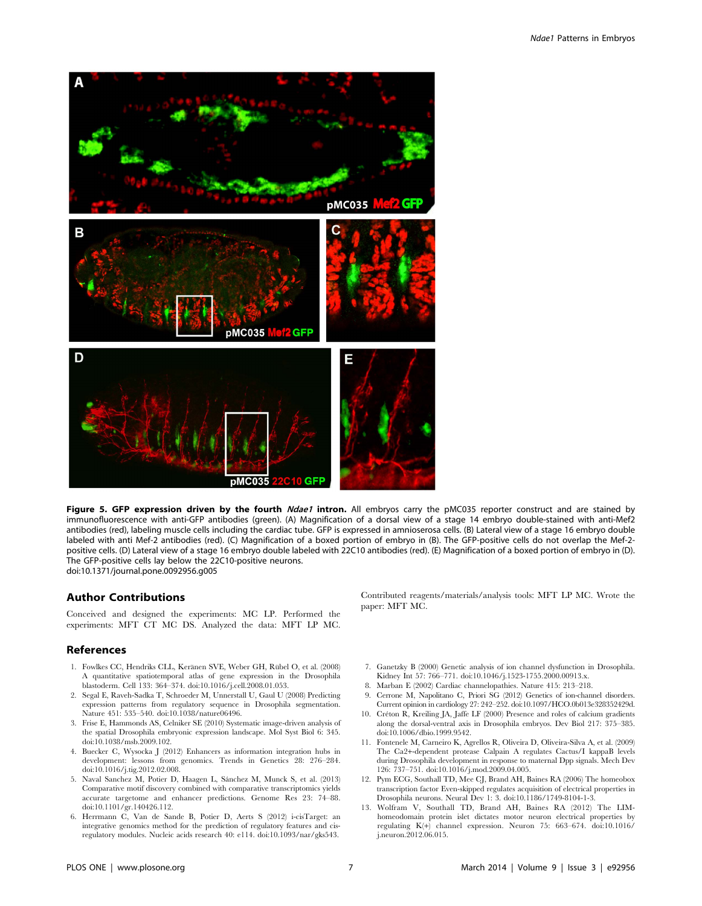

Figure 5. GFP expression driven by the fourth Ndae1 intron. All embryos carry the pMC035 reporter construct and are stained by immunofluorescence with anti-GFP antibodies (green). (A) Magnification of a dorsal view of a stage 14 embryo double-stained with anti-Mef2 antibodies (red), labeling muscle cells including the cardiac tube. GFP is expressed in amnioserosa cells. (B) Lateral view of a stage 16 embryo double labeled with anti Mef-2 antibodies (red). (C) Magnification of a boxed portion of embryo in (B). The GFP-positive cells do not overlap the Mef-2 positive cells. (D) Lateral view of a stage 16 embryo double labeled with 22C10 antibodies (red). (E) Magnification of a boxed portion of embryo in (D). The GFP-positive cells lay below the 22C10-positive neurons. doi:10.1371/journal.pone.0092956.g005

#### Author Contributions

Conceived and designed the experiments: MC LP. Performed the experiments: MFT CT MC DS. Analyzed the data: MFT LP MC.

#### References

- 1. Fowlkes CC, Hendriks CLL, Keränen SVE, Weber GH, Rübel O, et al. (2008) A quantitative spatiotemporal atlas of gene expression in the Drosophila blastoderm. Cell 133: 364–374. doi:10.1016/j.cell.2008.01.053.
- 2. Segal E, Raveh-Sadka T, Schroeder M, Unnerstall U, Gaul U (2008) Predicting expression patterns from regulatory sequence in Drosophila segmentation. Nature 451: 535–540. doi:10.1038/nature06496.
- 3. Frise E, Hammonds AS, Celniker SE (2010) Systematic image-driven analysis of the spatial Drosophila embryonic expression landscape. Mol Syst Biol 6: 345. doi:10.1038/msb.2009.102.
- 4. Buecker C, Wysocka J (2012) Enhancers as information integration hubs in development: lessons from genomics. Trends in Genetics 28: 276–284. doi:10.1016/j.tig.2012.02.008.
- 5. Naval Sanchez M, Potier D, Haagen L, Sánchez M, Munck S, et al. (2013) Comparative motif discovery combined with comparative transcriptomics yields accurate targetome and enhancer predictions. Genome Res 23: 74–88. doi:10.1101/gr.140426.112.
- 6. Herrmann C, Van de Sande B, Potier D, Aerts S (2012) i-cisTarget: an integrative genomics method for the prediction of regulatory features and cisregulatory modules. Nucleic acids research 40: e114. doi:10.1093/nar/gks543.

Contributed reagents/materials/analysis tools: MFT LP MC. Wrote the paper: MFT MC.

- 7. Ganetzky B (2000) Genetic analysis of ion channel dysfunction in Drosophila. Kidney Int 57: 766-771. doi:10.1046/j.1523-1755.2000.00913.x.
- 8. Marban E (2002) Cardiac channelopathies. Nature 415: 213–218.
- 9. Cerrone M, Napolitano C, Priori SG (2012) Genetics of ion-channel disorders. Current opinion in cardiology 27: 242–252. doi:10.1097/HCO.0b013e328352429d.
- 10. Créton R, Kreiling JA, Jaffe LF (2000) Presence and roles of calcium gradients along the dorsal-ventral axis in Drosophila embryos. Dev Biol 217: 375–385. doi:10.1006/dbio.1999.9542.
- 11. Fontenele M, Carneiro K, Agrellos R, Oliveira D, Oliveira-Silva A, et al. (2009) The Ca2+-dependent protease Calpain A regulates Cactus/I kappaB levels during Drosophila development in response to maternal Dpp signals. Mech Dev 126: 737–751. doi:10.1016/j.mod.2009.04.005.
- 12. Pym ECG, Southall TD, Mee CJ, Brand AH, Baines RA (2006) The homeobox transcription factor Even-skipped regulates acquisition of electrical properties in Drosophila neurons. Neural Dev 1: 3. doi:10.1186/1749-8104-1-3.
- 13. Wolfram V, Southall TD, Brand AH, Baines RA (2012) The LIMhomeodomain protein islet dictates motor neuron electrical properties by regulating K(+) channel expression. Neuron 75: 663–674. doi:10.1016/ j.neuron.2012.06.015.